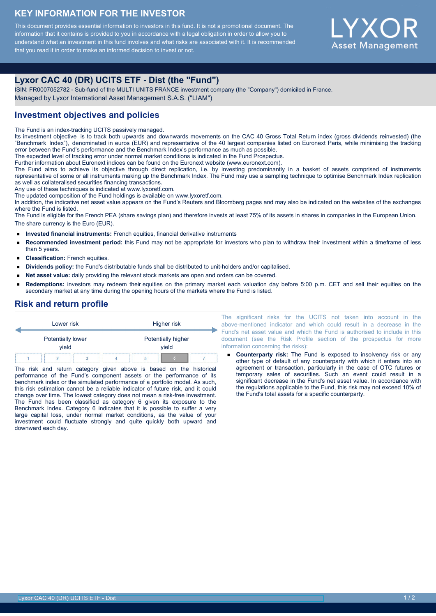## **KEY INFORMATION FOR THE INVESTOR**

This document provides essential information to investors in this fund. It is not a promotional document. The information that it contains is provided to you in accordance with a legal obligation in order to allow you to understand what an investment in this fund involves and what risks are associated with it. It is recommended that you read it in order to make an informed decision to invest or not.



# **Lyxor CAC 40 (DR) UCITS ETF - Dist (the "Fund")**

ISIN: FR0007052782 - Sub-fund of the MULTI UNITS FRANCE investment company (the "Company") domiciled in France. Managed by Lyxor International Asset Management S.A.S. ("LIAM")

# **Investment objectives and policies**

The Fund is an index-tracking UCITS passively managed.

Its investment objective is to track both upwards and downwards movements on the CAC 40 Gross Total Return index (gross dividends reinvested) (the "Benchmark Index"), denominated in euros (EUR) and representative of the 40 largest companies listed on Euronext Paris, while minimising the tracking error between the Fund's performance and the Benchmark Index's performance as much as possible.

The expected level of tracking error under normal market conditions is indicated in the Fund Prospectus.

Further information about Euronext indices can be found on the Euronext website (www.euronext.com).

The Fund aims to achieve its objective through direct replication, i.e. by investing predominantly in a basket of assets comprised of instruments representative of some or all instruments making up the Benchmark Index. The Fund may use a sampling technique to optimise Benchmark Index replication as well as collateralised securities financing transactions.

Any use of these techniques is indicated at www.lyxoretf.com.

The updated composition of the Fund holdings is available on www.lyxoretf.com.

In addition, the indicative net asset value appears on the Fund's Reuters and Bloomberg pages and may also be indicated on the websites of the exchanges where the Fund is listed.

The Fund is eligible for the French PEA (share savings plan) and therefore invests at least 75% of its assets in shares in companies in the European Union. The share currency is the Euro (EUR).

- **Invested financial instruments:** French equities, financial derivative instruments
- $\blacksquare$ **Recommended investment period:** this Fund may not be appropriate for investors who plan to withdraw their investment within a timeframe of less than 5 years.
- **Classification:** French equities.
- **Dividends policy:** the Fund's distributable funds shall be distributed to unit-holders and/or capitalised.
- **Net asset value:** daily providing the relevant stock markets are open and orders can be covered.
- **Redemptions:** investors may redeem their equities on the primary market each valuation day before 5:00 p.m. CET and sell their equities on the secondary market at any time during the opening hours of the markets where the Fund is listed.

## **Risk and return profile**



The risk and return category given above is based on the historical performance of the Fund's component assets or the performance of its benchmark index or the simulated performance of a portfolio model. As such, this risk estimation cannot be a reliable indicator of future risk, and it could change over time. The lowest category does not mean a risk-free investment. The Fund has been classified as category 6 given its exposure to the Benchmark Index. Category 6 indicates that it is possible to suffer a very large capital loss, under normal market conditions, as the value of your investment could fluctuate strongly and quite quickly both upward and downward each day.

The significant risks for the UCITS not taken into account in the above-mentioned indicator and which could result in a decrease in the Fund's net asset value and which the Fund is authorised to include in this document (see the Risk Profile section of the prospectus for more information concerning the risks):

**Counterparty risk:** The Fund is exposed to insolvency risk or any other type of default of any counterparty with which it enters into an agreement or transaction, particularly in the case of OTC futures or temporary sales of securities. Such an event could result in a significant decrease in the Fund's net asset value. In accordance with the regulations applicable to the Fund, this risk may not exceed 10% of the Fund's total assets for a specific counterparty.